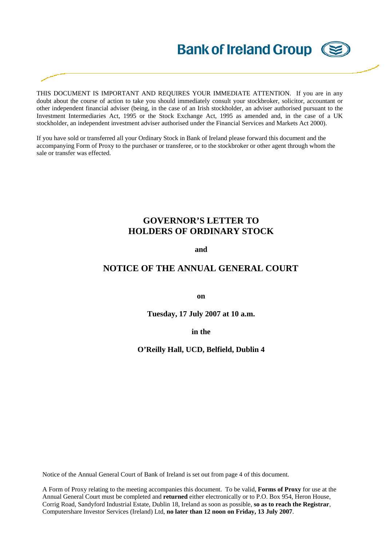# **Bank of Ireland Group (SE**

THIS DOCUMENT IS IMPORTANT AND REQUIRES YOUR IMMEDIATE ATTENTION. If you are in any doubt about the course of action to take you should immediately consult your stockbroker, solicitor, accountant or other independent financial adviser (being, in the case of an Irish stockholder, an adviser authorised pursuant to the Investment Intermediaries Act, 1995 or the Stock Exchange Act, 1995 as amended and, in the case of a UK stockholder, an independent investment adviser authorised under the Financial Services and Markets Act 2000).

If you have sold or transferred all your Ordinary Stock in Bank of Ireland please forward this document and the accompanying Form of Proxy to the purchaser or transferee, or to the stockbroker or other agent through whom the sale or transfer was effected.

### **GOVERNOR'S LETTER TO HOLDERS OF ORDINARY STOCK**

**and** 

### **NOTICE OF THE ANNUAL GENERAL COURT**

**on** 

**Tuesday, 17 July 2007 at 10 a.m.** 

**in the** 

**O'Reilly Hall, UCD, Belfield, Dublin 4** 

Notice of the Annual General Court of Bank of Ireland is set out from page 4 of this document.

A Form of Proxy relating to the meeting accompanies this document. To be valid, **Forms of Proxy** for use at the Annual General Court must be completed and **returned** either electronically or to P.O. Box 954, Heron House, Corrig Road, Sandyford Industrial Estate, Dublin 18, Ireland as soon as possible, **so as to reach the Registrar**, Computershare Investor Services (Ireland) Ltd, **no later than 12 noon on Friday, 13 July 2007**.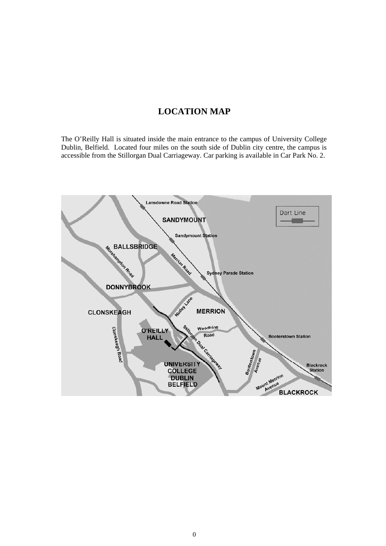## **LOCATION MAP**

The O'Reilly Hall is situated inside the main entrance to the campus of University College Dublin, Belfield. Located four miles on the south side of Dublin city centre, the campus is accessible from the Stillorgan Dual Carriageway. Car parking is available in Car Park No. 2.

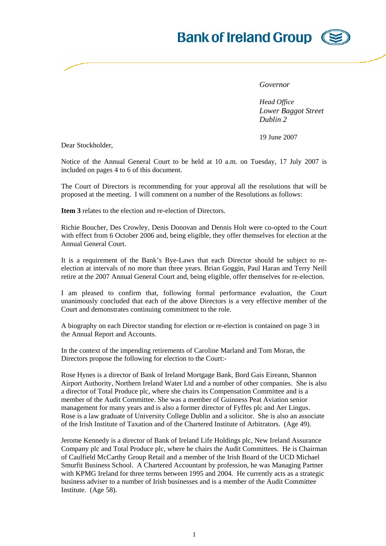## **Bank of Ireland Group**



*Governor* 

*Head Office Lower Baggot Street Dublin 2*

19 June 2007

Dear Stockholder,

Notice of the Annual General Court to be held at 10 a.m. on Tuesday, 17 July 2007 is included on pages 4 to 6 of this document.

The Court of Directors is recommending for your approval all the resolutions that will be proposed at the meeting. I will comment on a number of the Resolutions as follows:

**Item 3** relates to the election and re-election of Directors.

Richie Boucher, Des Crowley, Denis Donovan and Dennis Holt were co-opted to the Court with effect from 6 October 2006 and, being eligible, they offer themselves for election at the Annual General Court.

It is a requirement of the Bank's Bye-Laws that each Director should be subject to reelection at intervals of no more than three years. Brian Goggin, Paul Haran and Terry Neill retire at the 2007 Annual General Court and, being eligible, offer themselves for re-election.

I am pleased to confirm that, following formal performance evaluation, the Court unanimously concluded that each of the above Directors is a very effective member of the Court and demonstrates continuing commitment to the role.

A biography on each Director standing for election or re-election is contained on page 3 in the Annual Report and Accounts.

In the context of the impending retirements of Caroline Marland and Tom Moran, the Directors propose the following for election to the Court:-

Rose Hynes is a director of Bank of Ireland Mortgage Bank, Bord Gais Eireann, Shannon Airport Authority, Northern Ireland Water Ltd and a number of other companies. She is also a director of Total Produce plc, where she chairs its Compensation Committee and is a member of the Audit Committee. She was a member of Guinness Peat Aviation senior management for many years and is also a former director of Fyffes plc and Aer Lingus. Rose is a law graduate of University College Dublin and a solicitor. She is also an associate of the Irish Institute of Taxation and of the Chartered Institute of Arbitrators. (Age 49).

Jerome Kennedy is a director of Bank of Ireland Life Holdings plc, New Ireland Assurance Company plc and Total Produce plc, where he chairs the Audit Committees. He is Chairman of Caulfield McCarthy Group Retail and a member of the Irish Board of the UCD Michael Smurfit Business School. A Chartered Accountant by profession, he was Managing Partner with KPMG Ireland for three terms between 1995 and 2004. He currently acts as a strategic business adviser to a number of Irish businesses and is a member of the Audit Committee Institute. (Age 58).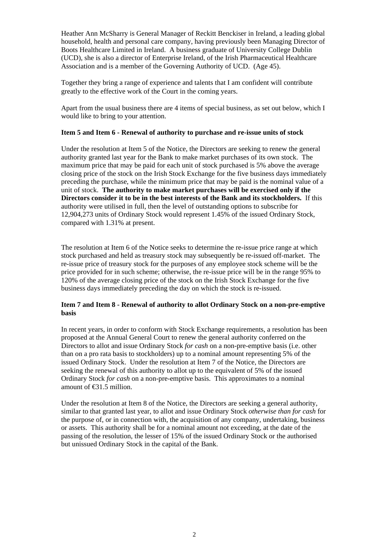Heather Ann McSharry is General Manager of Reckitt Benckiser in Ireland, a leading global household, health and personal care company, having previously been Managing Director of Boots Healthcare Limited in Ireland. A business graduate of University College Dublin (UCD), she is also a director of Enterprise Ireland, of the Irish Pharmaceutical Healthcare Association and is a member of the Governing Authority of UCD. (Age 45).

Together they bring a range of experience and talents that I am confident will contribute greatly to the effective work of the Court in the coming years.

Apart from the usual business there are 4 items of special business, as set out below, which I would like to bring to your attention.

#### **Item 5 and Item 6 - Renewal of authority to purchase and re-issue units of stock**

Under the resolution at Item 5 of the Notice, the Directors are seeking to renew the general authority granted last year for the Bank to make market purchases of its own stock. The maximum price that may be paid for each unit of stock purchased is 5% above the average closing price of the stock on the Irish Stock Exchange for the five business days immediately preceding the purchase, while the minimum price that may be paid is the nominal value of a unit of stock. **The authority to make market purchases will be exercised only if the Directors consider it to be in the best interests of the Bank and its stockholders.** If this authority were utilised in full, then the level of outstanding options to subscribe for 12,904,273 units of Ordinary Stock would represent 1.45% of the issued Ordinary Stock, compared with 1.31% at present.

The resolution at Item 6 of the Notice seeks to determine the re-issue price range at which stock purchased and held as treasury stock may subsequently be re-issued off-market. The re-issue price of treasury stock for the purposes of any employee stock scheme will be the price provided for in such scheme; otherwise, the re-issue price will be in the range 95% to 120% of the average closing price of the stock on the Irish Stock Exchange for the five business days immediately preceding the day on which the stock is re-issued.

#### **Item 7 and Item 8 - Renewal of authority to allot Ordinary Stock on a non-pre-emptive basis**

In recent years, in order to conform with Stock Exchange requirements, a resolution has been proposed at the Annual General Court to renew the general authority conferred on the Directors to allot and issue Ordinary Stock *for cash* on a non-pre-emptive basis (i.e. other than on a pro rata basis to stockholders) up to a nominal amount representing 5% of the issued Ordinary Stock. Under the resolution at Item 7 of the Notice, the Directors are seeking the renewal of this authority to allot up to the equivalent of 5% of the issued Ordinary Stock *for cash* on a non-pre-emptive basis. This approximates to a nominal amount of €31.5 million.

Under the resolution at Item 8 of the Notice, the Directors are seeking a general authority, similar to that granted last year, to allot and issue Ordinary Stock *otherwise than for cash* for the purpose of, or in connection with, the acquisition of any company, undertaking, business or assets. This authority shall be for a nominal amount not exceeding, at the date of the passing of the resolution, the lesser of 15% of the issued Ordinary Stock or the authorised but unissued Ordinary Stock in the capital of the Bank.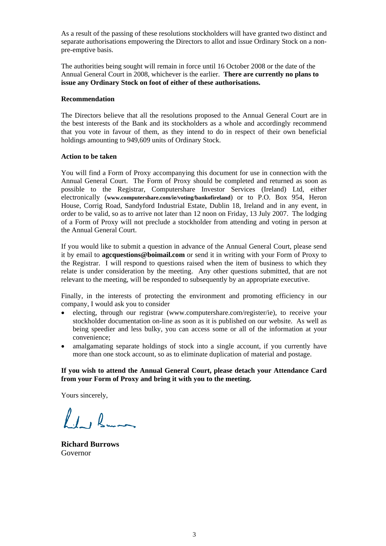As a result of the passing of these resolutions stockholders will have granted two distinct and separate authorisations empowering the Directors to allot and issue Ordinary Stock on a nonpre-emptive basis.

The authorities being sought will remain in force until 16 October 2008 or the date of the Annual General Court in 2008, whichever is the earlier. **There are currently no plans to issue any Ordinary Stock on foot of either of these authorisations.**

#### **Recommendation**

The Directors believe that all the resolutions proposed to the Annual General Court are in the best interests of the Bank and its stockholders as a whole and accordingly recommend that you vote in favour of them, as they intend to do in respect of their own beneficial holdings amounting to 949,609 units of Ordinary Stock.

#### **Action to be taken**

You will find a Form of Proxy accompanying this document for use in connection with the Annual General Court. The Form of Proxy should be completed and returned as soon as possible to the Registrar, Computershare Investor Services (Ireland) Ltd, either electronically (**[www.computershare.com/ie/voting/bankofireland](http://www.computershare.com/ie/voting/bankofireland)**) or to P.O. Box 954, Heron House, Corrig Road, Sandyford Industrial Estate, Dublin 18, Ireland and in any event, in order to be valid, so as to arrive not later than 12 noon on Friday, 13 July 2007. The lodging of a Form of Proxy will not preclude a stockholder from attending and voting in person at the Annual General Court.

If you would like to submit a question in advance of the Annual General Court, please send it by email to **agcquestions@boimail.com** or send it in writing with your Form of Proxy to the Registrar. I will respond to questions raised when the item of business to which they relate is under consideration by the meeting. Any other questions submitted, that are not relevant to the meeting, will be responded to subsequently by an appropriate executive.

Finally, in the interests of protecting the environment and promoting efficiency in our company, I would ask you to consider

- electing, through our registrar (www.computershare.com/register/ie), to receive your stockholder documentation on-line as soon as it is published on our website. As well as being speedier and less bulky, you can access some or all of the information at your convenience;
- amalgamating separate holdings of stock into a single account, if you currently have more than one stock account, so as to eliminate duplication of material and postage.

#### **If you wish to attend the Annual General Court, please detach your Attendance Card from your Form of Proxy and bring it with you to the meeting.**

Yours sincerely,

Led Burn

**Richard Burrows**  Governor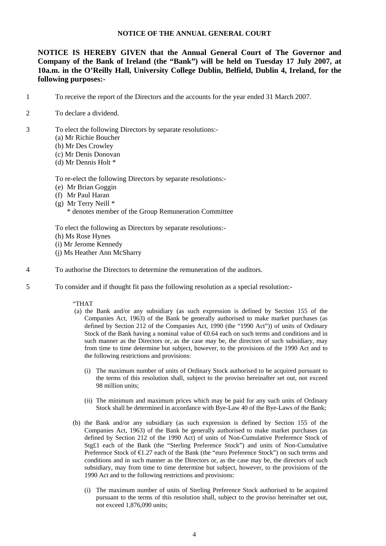#### **NOTICE OF THE ANNUAL GENERAL COURT**

**NOTICE IS HEREBY GIVEN that the Annual General Court of The Governor and Company of the Bank of Ireland (the "Bank") will be held on Tuesday 17 July 2007, at 10a.m. in the O'Reilly Hall, University College Dublin, Belfield, Dublin 4, Ireland, for the following purposes:-** 

- 1 To receive the report of the Directors and the accounts for the year ended 31 March 2007.
- 2 To declare a dividend.
- 3 To elect the following Directors by separate resolutions:-
	- (a) Mr Richie Boucher
	- (b) Mr Des Crowley
	- (c) Mr Denis Donovan
	- (d) Mr Dennis Holt \*

To re-elect the following Directors by separate resolutions:-

- (e) Mr Brian Goggin
- (f) Mr Paul Haran
- (g) Mr Terry Neill \*
	- \* denotes member of the Group Remuneration Committee

To elect the following as Directors by separate resolutions:-

- (h) Ms Rose Hynes
- (i) Mr Jerome Kennedy
- (j) Ms Heather Ann McSharry
- 4 To authorise the Directors to determine the remuneration of the auditors.
- 5 To consider and if thought fit pass the following resolution as a special resolution:-

#### "THAT

- (a) the Bank and/or any subsidiary (as such expression is defined by Section 155 of the Companies Act, 1963) of the Bank be generally authorised to make market purchases (as defined by Section 212 of the Companies Act, 1990 (the "1990 Act")) of units of Ordinary Stock of the Bank having a nominal value of €0.64 each on such terms and conditions and in such manner as the Directors or, as the case may be, the directors of such subsidiary, may from time to time determine but subject, however, to the provisions of the 1990 Act and to the following restrictions and provisions:
	- (i) The maximum number of units of Ordinary Stock authorised to be acquired pursuant to the terms of this resolution shall, subject to the proviso hereinafter set out, not exceed 98 million units;
	- (ii) The minimum and maximum prices which may be paid for any such units of Ordinary Stock shall be determined in accordance with Bye-Law 40 of the Bye-Laws of the Bank;
- (b) the Bank and/or any subsidiary (as such expression is defined by Section 155 of the Companies Act, 1963) of the Bank be generally authorised to make market purchases (as defined by Section 212 of the 1990 Act) of units of Non-Cumulative Preference Stock of Stg£1 each of the Bank (the "Sterling Preference Stock") and units of Non-Cumulative Preference Stock of €1.27 each of the Bank (the "euro Preference Stock") on such terms and conditions and in such manner as the Directors or, as the case may be, the directors of such subsidiary, may from time to time determine but subject, however, to the provisions of the 1990 Act and to the following restrictions and provisions:
	- (i) The maximum number of units of Sterling Preference Stock authorised to be acquired pursuant to the terms of this resolution shall, subject to the proviso hereinafter set out, not exceed 1,876,090 units;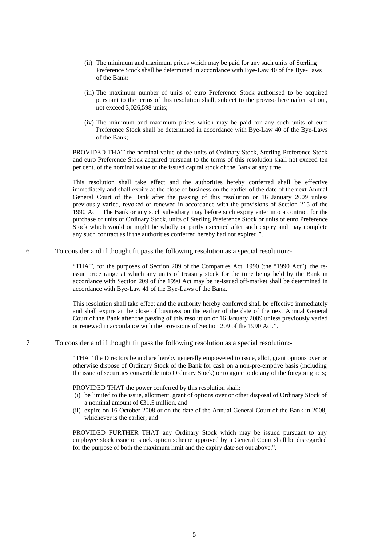- (ii) The minimum and maximum prices which may be paid for any such units of Sterling Preference Stock shall be determined in accordance with Bye-Law 40 of the Bye-Laws of the Bank;
- (iii) The maximum number of units of euro Preference Stock authorised to be acquired pursuant to the terms of this resolution shall, subject to the proviso hereinafter set out, not exceed 3,026,598 units;
- (iv) The minimum and maximum prices which may be paid for any such units of euro Preference Stock shall be determined in accordance with Bye-Law 40 of the Bye-Laws of the Bank;

PROVIDED THAT the nominal value of the units of Ordinary Stock, Sterling Preference Stock and euro Preference Stock acquired pursuant to the terms of this resolution shall not exceed ten per cent. of the nominal value of the issued capital stock of the Bank at any time.

 This resolution shall take effect and the authorities hereby conferred shall be effective immediately and shall expire at the close of business on the earlier of the date of the next Annual General Court of the Bank after the passing of this resolution or 16 January 2009 unless previously varied, revoked or renewed in accordance with the provisions of Section 215 of the 1990 Act. The Bank or any such subsidiary may before such expiry enter into a contract for the purchase of units of Ordinary Stock, units of Sterling Preference Stock or units of euro Preference Stock which would or might be wholly or partly executed after such expiry and may complete any such contract as if the authorities conferred hereby had not expired.".

6 To consider and if thought fit pass the following resolution as a special resolution:-

"THAT, for the purposes of Section 209 of the Companies Act, 1990 (the "1990 Act"), the reissue price range at which any units of treasury stock for the time being held by the Bank in accordance with Section 209 of the 1990 Act may be re-issued off-market shall be determined in accordance with Bye-Law 41 of the Bye-Laws of the Bank.

This resolution shall take effect and the authority hereby conferred shall be effective immediately and shall expire at the close of business on the earlier of the date of the next Annual General Court of the Bank after the passing of this resolution or 16 January 2009 unless previously varied or renewed in accordance with the provisions of Section 209 of the 1990 Act.".

7 To consider and if thought fit pass the following resolution as a special resolution:-

"THAT the Directors be and are hereby generally empowered to issue, allot, grant options over or otherwise dispose of Ordinary Stock of the Bank for cash on a non-pre-emptive basis (including the issue of securities convertible into Ordinary Stock) or to agree to do any of the foregoing acts;

PROVIDED THAT the power conferred by this resolution shall:

- (i) be limited to the issue, allotment, grant of options over or other disposal of Ordinary Stock of a nominal amount of €31.5 million, and
- (ii) expire on 16 October 2008 or on the date of the Annual General Court of the Bank in 2008, whichever is the earlier; and

PROVIDED FURTHER THAT any Ordinary Stock which may be issued pursuant to any employee stock issue or stock option scheme approved by a General Court shall be disregarded for the purpose of both the maximum limit and the expiry date set out above.".